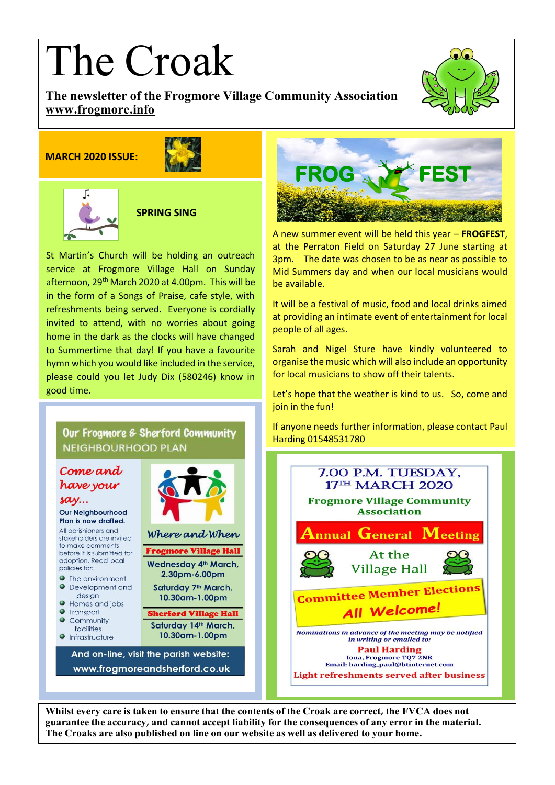# The Croak

**The newsletter of the Frogmore Village Community Association [www.frogmore.info](http://www.frogmore.info/)**

# **MARCH 2020 ISSUE:**





 **SPRING SING**

service at Frogmore Village Hall on Sunday St Martin's Church will be holding an outreach afternoon, 29<sup>th</sup> March 2020 at 4.00pm. This will be in the form of a Songs of Praise, cafe style, with refreshments being served. Everyone is cordially invited to attend, with no worries about going home in the dark as the clocks will have changed to Summertime that day! If you have a favourite hymn which you would like included in the service, please could you let Judy Dix (580246) know in good time.

Our Frogmore & Sherford Community

And on-line, visit the parish website:

www.frogmoreandsherford.co.uk

Where and When

**Frogmore Village Hall** 

Wednesday 4th March,

2.30pm-6.00pm

Saturday 7<sup>th</sup> March,

10.30am-1.00pm

**Sherford Village Hall** 

Saturday 14th March,

10.30am-1.00pm

**NEIGHBOURHOOD PLAN** 

Come and

have your

Our Neighbourhood Plan is now drafted. All parishioners and

stakeholders are invited to make comments

before it is submitted for

adoption, Read local

**The environment** 

let Homes and jobs

Transport

Community

facilities

 $\bullet$  Infrastructure

**O** Development and design

 $say...$ 

policies for:

 $\triangle$ 

 $\bullet$ 



A new summer event will be held this year – **FROGFEST**, at the Perraton Field on Saturday 27 June starting at 3pm. The date was chosen to be as near as possible to Mid Summers day and when our local musicians would be available.

It will be a festival of music, food and local drinks aimed at providing an intimate event of entertainment for local people of all ages.

Sarah and Nigel Sture have kindly volunteered to organise the music which will also include an opportunity for local musicians to show off their talents.

Let's hope that the weather is kind to us. So, come and join in the fun!

If anyone needs further information, please contact Paul Harding 01548531780



**Whilst every care is taken to ensure that the contents of the Croak are correct, the FVCA does not guarantee the accuracy, and cannot accept liability for the consequences of any error in the material. The Croaks are also published on line on our website as well as delivered to your home.**